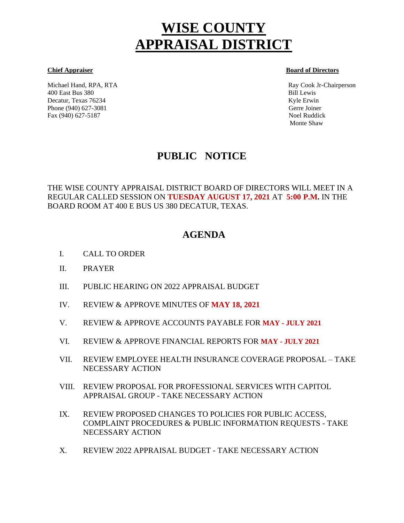# **WISE COUNTY APPRAISAL DISTRICT**

Michael Hand, RPA, RTA Ray Cook Jr-Chairperson 400 East Bus 380 Bill Lewis Decatur, Texas 76234 Kyle Erwin Kyle Erwin Kyle Erwin Kyle Erwin Kyle Erwin Kyle Erwin Kyle Erwin Kyle Erwin Kyle Erwin Kyle Erwin Kyle Erwin Kyle Erwin Kyle Erwin Kyle Erwin Kyle Erwin Kyle Erwin Kyle Erwin Kyle Erwin Kyl Phone (940) 627-3081 Gerre Joiner Fax (940) 627-5187 Noel Ruddick

#### **Chief Appraiser Board of Directors**

Monte Shaw

# **PUBLIC NOTICE**

THE WISE COUNTY APPRAISAL DISTRICT BOARD OF DIRECTORS WILL MEET IN A REGULAR CALLED SESSION ON **TUESDAY AUGUST 17, 2021** AT **5:00 P.M.** IN THE BOARD ROOM AT 400 E BUS US 380 DECATUR, TEXAS.

## **AGENDA**

- I. CALL TO ORDER Ĩ
- II. PRAYER
- III. PUBLIC HEARING ON 2022 APPRAISAL BUDGET
- IV. REVIEW & APPROVE MINUTES OF **MAY 18, 2021**
- V. REVIEW & APPROVE ACCOUNTS PAYABLE FOR **MAY - JULY 2021**
- VI. REVIEW & APPROVE FINANCIAL REPORTS FOR **MAY - JULY 2021**
- VII. REVIEW EMPLOYEE HEALTH INSURANCE COVERAGE PROPOSAL TAKE NECESSARY ACTION
- VIII. REVIEW PROPOSAL FOR PROFESSIONAL SERVICES WITH CAPITOL APPRAISAL GROUP - TAKE NECESSARY ACTION
- IX. REVIEW PROPOSED CHANGES TO POLICIES FOR PUBLIC ACCESS, COMPLAINT PROCEDURES & PUBLIC INFORMATION REQUESTS - TAKE NECESSARY ACTION
- X. REVIEW 2022 APPRAISAL BUDGET TAKE NECESSARY ACTION